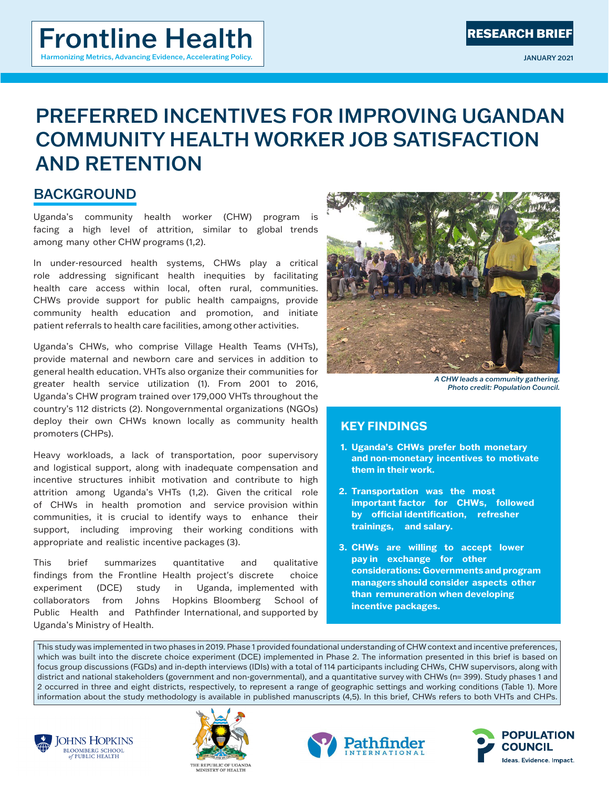# PREFERRED INCENTIVES FOR IMPROVING UGANDAN COMMUNITY HEALTH WORKER JOB SATISFACTION AND RETENTION

# **BACKGROUND**

Uganda's community health worker (CHW) program is facing a high level of attrition, similar to global trends among many other CHW programs (1,2).

In under-resourced health systems, CHWs play a critical role addressing significant health inequities by facilitating health care access within local, often rural, communities. CHWs provide support for public health campaigns, provide community health education and promotion, and initiate patient referrals to health care facilities, among other activities.

Uganda's CHWs, who comprise Village Health Teams (VHTs), provide maternal and newborn care and services in addition to general health education. VHTs also organize their communities for greater health service utilization (1). From 2001 to 2016, Uganda's CHW program trained over 179,000 VHTs throughout the country's 112 districts (2). Nongovernmental organizations (NGOs) deploy their own CHWs known locally as community health promoters (CHPs).

Heavy workloads, a lack of transportation, poor supervisory and logistical support, along with inadequate compensation and incentive structures inhibit motivation and contribute to high attrition among Uganda's VHTs (1,2). Given the critical role of CHWs in health promotion and service provision within communities, it is crucial to identify ways to enhance their support, including improving their working conditions with appropriate and realistic incentive packages (3).

This brief summarizes quantitative and qualitative findings from the Frontline Health project's discrete choice experiment (DCE) study in Uganda, implemented with collaborators from Johns Hopkins Bloomberg School of Public Health and Pathfinder International, and supported by Uganda's Ministry of Health.



*A CHW leads a community gathering. Photo credit: Population Council.*

# **KEY FINDINGS**

- **1. Uganda's CHWs prefer both monetary and non-monetary incentives to motivate them in their work.**
- **2. Transportation was the most important factor for CHWs, followed by official identification, refresher trainings, and salary.**
- **3. CHWs are willing to accept lower pay in exchange for other considerations: Governments and program managers should consider aspects other than remuneration when developing incentive packages.**

This study was implemented in two phases in 2019. Phase 1 provided foundational understanding of CHW context and incentive preferences,  $\vert$  focus group discussions (FGDs) and in-depth interviews (IDIs) with a total of 114 participants including CHWs, CHW supervisors, along with  $\mid$  district and national stakeholders (government and non-governmental), and a quantitative survey with CHWs (n= 399). Study phases 1 and 2 occurred in three and eight districts, respectively, to represent a range of geographic settings and working conditions (Table 1). More which was built into the discrete choice experiment (DCE) implemented in Phase 2. The information presented in this brief is based on information about the study methodology is available in published manuscripts (4,5). In this brief, CHWs refers to both VHTs and CHPs.







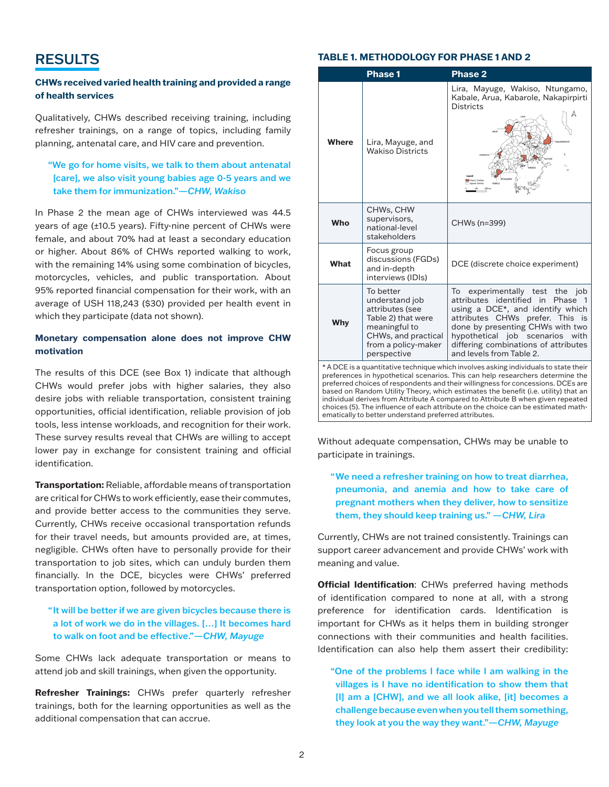# RESULTS

## **CHWs received varied health training and provided a range of health services**

Qualitatively, CHWs described receiving training, including refresher trainings, on a range of topics, including family planning, antenatal care, and HIV care and prevention.

# "We go for home visits, we talk to them about antenatal [care], we also visit young babies age 0-5 years and we take them for immunization."*—CHW, Wakiso*

In Phase 2 the mean age of CHWs interviewed was 44.5 years of age (±10.5 years). Fifty-nine percent of CHWs were female, and about 70% had at least a secondary education or higher. About 86% of CHWs reported walking to work, with the remaining 14% using some combination of bicycles, motorcycles, vehicles, and public transportation. About 95% reported financial compensation for their work, with an average of USH 118,243 (\$30) provided per health event in which they participate (data not shown).

### **Monetary compensation alone does not improve CHW motivation**

The results of this DCE (see Box 1) indicate that although CHWs would prefer jobs with higher salaries, they also desire jobs with reliable transportation, consistent training opportunities, official identification, reliable provision of job tools, less intense workloads, and recognition for their work. These survey results reveal that CHWs are willing to accept lower pay in exchange for consistent training and official identification.

**Transportation:** Reliable, affordable means of transportation are critical for CHWs to work efficiently, ease their commutes, and provide better access to the communities they serve. Currently, CHWs receive occasional transportation refunds for their travel needs, but amounts provided are, at times, negligible. CHWs often have to personally provide for their transportation to job sites, which can unduly burden them financially. In the DCE, bicycles were CHWs' preferred transportation option, followed by motorcycles.

## "It will be better if we are given bicycles because there is a lot of work we do in the villages. […] It becomes hard to walk on foot and be effective."*—CHW, Mayuge*

Some CHWs lack adequate transportation or means to attend job and skill trainings, when given the opportunity.

**Refresher Trainings:** CHWs prefer quarterly refresher trainings, both for the learning opportunities as well as the additional compensation that can accrue.

### **TABLE 1. METHODOLOGY FOR PHASE 1 AND 2**

|              | Phase 1                                                                                                                                            | Phase 2                                                                                                                                                                                                                                                                                                                                                                                                                             |
|--------------|----------------------------------------------------------------------------------------------------------------------------------------------------|-------------------------------------------------------------------------------------------------------------------------------------------------------------------------------------------------------------------------------------------------------------------------------------------------------------------------------------------------------------------------------------------------------------------------------------|
| <b>Where</b> | Lira, Mayuge, and<br><b>Wakiso Districts</b>                                                                                                       | Lira, Mayuge, Wakiso, Ntungamo,<br>Kabale, Arua, Kabarole, Nakapirpirti<br><b>Districts</b><br>KABARCH                                                                                                                                                                                                                                                                                                                              |
| Who          | CHWs, CHW<br>supervisors,<br>national-level<br>stakeholders                                                                                        | CHWs (n=399)                                                                                                                                                                                                                                                                                                                                                                                                                        |
| What         | Focus group<br>discussions (FGDs)<br>and in-depth<br>interviews (IDIs)                                                                             | DCE (discrete choice experiment)                                                                                                                                                                                                                                                                                                                                                                                                    |
| <b>Why</b>   | To better<br>understand job<br>attributes (see<br>Table 2) that were<br>meaningful to<br>CHWs, and practical<br>from a policy-maker<br>perspective | experimentally test the job<br>To<br>identified in<br>attributes<br>Phase 1<br>using a DCE*, and identify which<br>attributes CHWs prefer. This is<br>done by presenting CHWs with two<br>hypothetical job scenarios<br>with<br>differing combinations of attributes<br>and levels from Table 2.                                                                                                                                    |
|              |                                                                                                                                                    | * A DCE is a quantitative technique which involves asking individuals to state their<br>preferences in hypothetical scenarios. This can help researchers determine the<br>preferred choices of respondents and their willingness for concessions. DCEs are<br>based on Random Utility Theory, which estimates the benefit (i.e. utility) that an<br>individual derives from Attribute A compared to Attribute B when given repeated |

Without adequate compensation, CHWs may be unable to ematically to better understand preferred attributes.

choices (5). The influence of each attribute on the choice can be estimated math-

participate in trainings.

# "We need a refresher training on how to treat diarrhea, pneumonia, and anemia and how to take care of pregnant mothers when they deliver, how to sensitize them, they should keep training us." *—CHW, Lira*

Currently, CHWs are not trained consistently. Trainings can support career advancement and provide CHWs' work with meaning and value.

**Official Identification**: CHWs preferred having methods of identification compared to none at all, with a strong preference for identification cards. Identification is important for CHWs as it helps them in building stronger connections with their communities and health facilities. Identification can also help them assert their credibility:

"One of the problems I face while I am walking in the villages is I have no identification to show them that [I] am a [CHW], and we all look alike, [it] becomes a challenge because even when you tell them something, they look at you the way they want."*—CHW, Mayuge*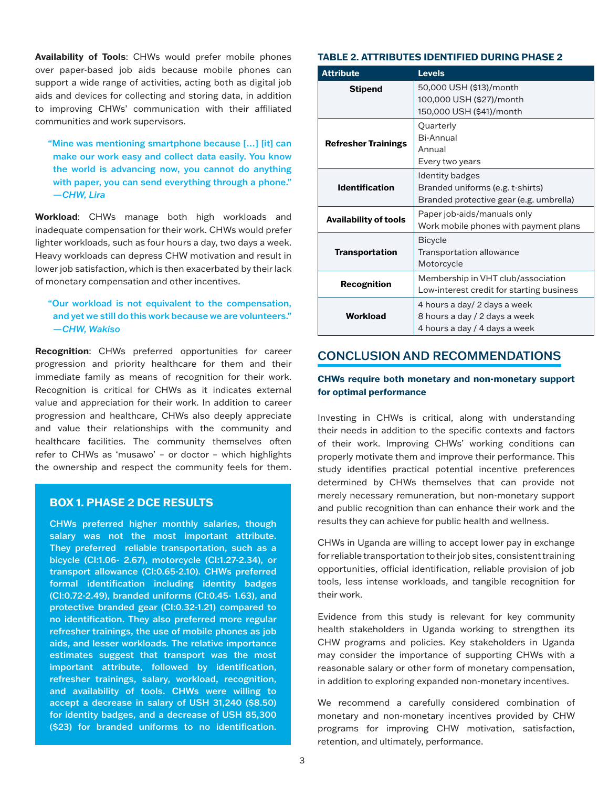**Availability of Tools**: CHWs would prefer mobile phones over paper-based job aids because mobile phones can support a wide range of activities, acting both as digital job aids and devices for collecting and storing data, in addition to improving CHWs' communication with their affiliated communities and work supervisors.

"Mine was mentioning smartphone because […] [it] can make our work easy and collect data easily. You know the world is advancing now, you cannot do anything with paper, you can send everything through a phone." *—CHW, Lira*

**Workload**: CHWs manage both high workloads and inadequate compensation for their work. CHWs would prefer lighter workloads, such as four hours a day, two days a week. Heavy workloads can depress CHW motivation and result in lower job satisfaction, which is then exacerbated by their lack of monetary compensation and other incentives.

# "Our workload is not equivalent to the compensation, and yet we still do this work because we are volunteers." *—CHW, Wakiso*

**Recognition**: CHWs preferred opportunities for career progression and priority healthcare for them and their immediate family as means of recognition for their work. Recognition is critical for CHWs as it indicates external value and appreciation for their work. In addition to career progression and healthcare, CHWs also deeply appreciate and value their relationships with the community and healthcare facilities. The community themselves often refer to CHWs as 'musawo' – or doctor – which highlights the ownership and respect the community feels for them.

### **BOX 1. PHASE 2 DCE RESULTS**

CHWs preferred higher monthly salaries, though salary was not the most important attribute. They preferred reliable transportation, such as a bicycle (CI:1.06- 2.67), motorcycle (CI:1.27-2.34), or transport allowance (CI:0.65-2.10). CHWs preferred formal identification including identity badges (CI:0.72-2.49), branded uniforms (CI:0.45- 1.63), and protective branded gear (CI:0.32-1.21) compared to no identification. They also preferred more regular refresher trainings, the use of mobile phones as job aids, and lesser workloads. The relative importance estimates suggest that transport was the most important attribute, followed by identification, refresher trainings, salary, workload, recognition, and availability of tools. CHWs were willing to accept a decrease in salary of USH 31,240 (\$8.50) for identity badges, and a decrease of USH 85,300 (\$23) for branded uniforms to no identification.

#### **TABLE 2. ATTRIBUTES IDENTIFIED DURING PHASE 2**

| <b>Attribute</b>             | <b>Levels</b>                                                                                  |
|------------------------------|------------------------------------------------------------------------------------------------|
| <b>Stipend</b>               | 50,000 USH (\$13)/month<br>100,000 USH (\$27)/month<br>150,000 USH (\$41)/month                |
| <b>Refresher Trainings</b>   | Quarterly<br><b>Bi-Annual</b><br>Annual<br>Every two years                                     |
| <b>Identification</b>        | Identity badges<br>Branded uniforms (e.g. t-shirts)<br>Branded protective gear (e.g. umbrella) |
| <b>Availability of tools</b> | Paper job-aids/manuals only<br>Work mobile phones with payment plans                           |
| <b>Transportation</b>        | <b>Bicycle</b><br>Transportation allowance<br>Motorcycle                                       |
| Recognition                  | Membership in VHT club/association<br>Low-interest credit for starting business                |
| <b>Workload</b>              | 4 hours a day/ 2 days a week<br>8 hours a day / 2 days a week<br>4 hours a day / 4 days a week |

# CONCLUSION AND RECOMMENDATIONS

### **CHWs require both monetary and non-monetary support for optimal performance**

Investing in CHWs is critical, along with understanding their needs in addition to the specific contexts and factors of their work. Improving CHWs' working conditions can properly motivate them and improve their performance. This study identifies practical potential incentive preferences determined by CHWs themselves that can provide not merely necessary remuneration, but non-monetary support and public recognition than can enhance their work and the results they can achieve for public health and wellness.

CHWs in Uganda are willing to accept lower pay in exchange for reliable transportation to their job sites, consistent training opportunities, official identification, reliable provision of job tools, less intense workloads, and tangible recognition for their work.

Evidence from this study is relevant for key community health stakeholders in Uganda working to strengthen its CHW programs and policies. Key stakeholders in Uganda may consider the importance of supporting CHWs with a reasonable salary or other form of monetary compensation, in addition to exploring expanded non-monetary incentives.

We recommend a carefully considered combination of monetary and non-monetary incentives provided by CHW programs for improving CHW motivation, satisfaction, retention, and ultimately, performance.